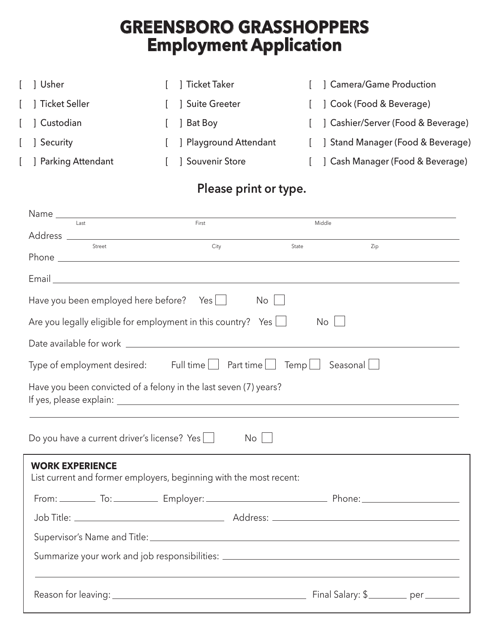# **GREENSBORO GRASSHOPPERS Employment Application**

| [ ] Usher         | [ ] Ticket Taker         | ] Camera/Game Production             |
|-------------------|--------------------------|--------------------------------------|
| [ ] Ticket Seller |                          | [ ] Cook (Food & Beverage)           |
| [ ] Custodian     | Bat Boy                  | [ ] Cashier/Server (Food & Beverage) |
| [ ] Security      | [ ] Playground Attendant | Stand Manager (Food & Beverage)      |
| Parking Attendant | <b>J</b> Souvenir Store  | ] Cash Manager (Food & Beverage)     |

## **Please print or type.**

| Last                                                                                         | First | Middle |     |  |  |
|----------------------------------------------------------------------------------------------|-------|--------|-----|--|--|
| Street                                                                                       | City  | State  | Zip |  |  |
|                                                                                              |       |        |     |  |  |
|                                                                                              |       |        |     |  |  |
|                                                                                              |       |        |     |  |  |
| Have you been employed here before? Yes                                                      |       | No I   |     |  |  |
| Are you legally eligible for employment in this country? Yes $\Box$                          |       | No     |     |  |  |
|                                                                                              |       |        |     |  |  |
| Type of employment desired: Full time $\Box$ Part time $\Box$ Temp $\Box$ Seasonal $\Box$    |       |        |     |  |  |
| Have you been convicted of a felony in the last seven (7) years?                             |       |        |     |  |  |
| Do you have a current driver's license? Yes                                                  | No.   |        |     |  |  |
| <b>WORK EXPERIENCE</b><br>List current and former employers, beginning with the most recent: |       |        |     |  |  |
|                                                                                              |       |        |     |  |  |
|                                                                                              |       |        |     |  |  |
|                                                                                              |       |        |     |  |  |
| Summarize your work and job responsibilities: __________________________________             |       |        |     |  |  |
|                                                                                              |       |        |     |  |  |